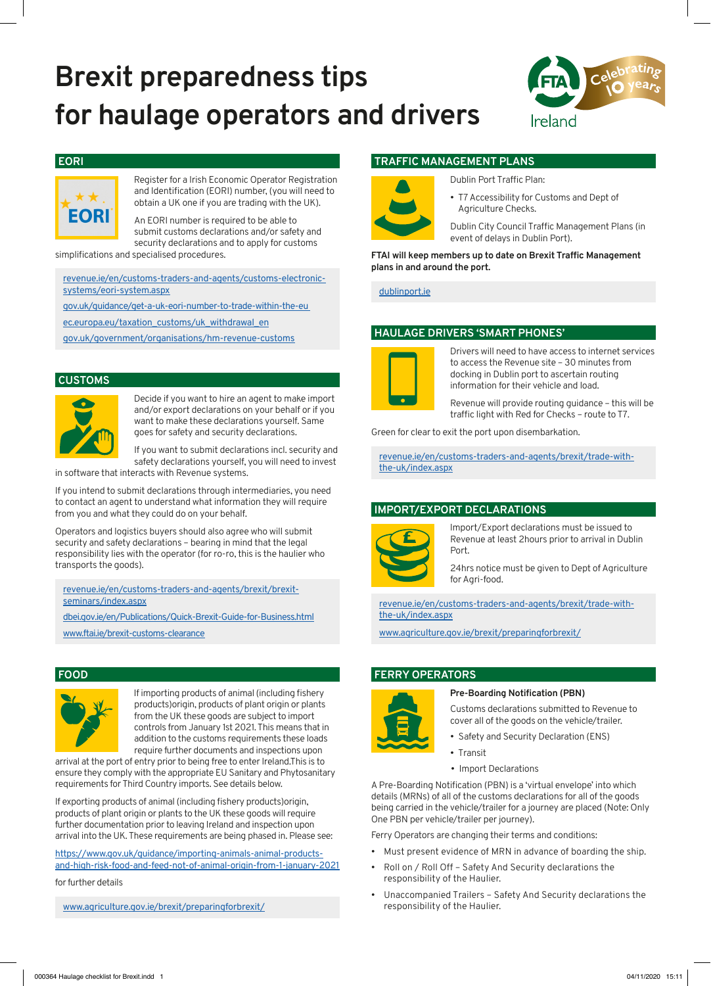# **Brexit preparedness tips for haulage operators and drivers**



#### **EORI**



Register for a Irish Economic Operator Registration and Identification (EORI) number, (you will need to obtain a UK one if you are trading with the UK).

An EORI number is required to be able to submit customs declarations and/or safety and security declarations and to apply for customs

simplifications and specialised procedures.

revenue.ie/en/customs-traders-and-agents/customs-electronicsystems/eori-system.aspx

gov.uk/guidance/get-a-uk-eori-number-to-trade-within-the-eu

ec.europa.eu/taxation\_customs/uk\_withdrawal\_en

gov.uk/government/organisations/hm-revenue-customs

#### **CUSTOMS**



Decide if you want to hire an agent to make import and/or export declarations on your behalf or if you want to make these declarations yourself. Same goes for safety and security declarations.

If you want to submit declarations incl. security and safety declarations yourself, you will need to invest

in software that interacts with Revenue systems.

If you intend to submit declarations through intermediaries, you need to contact an agent to understand what information they will require from you and what they could do on your behalf.

Operators and logistics buyers should also agree who will submit security and safety declarations – bearing in mind that the legal responsibility lies with the operator (for ro-ro, this is the haulier who transports the goods).

revenue.ie/en/customs-traders-and-agents/brexit/brexitseminars/index.aspx

dbei.gov.ie/en/Publications/Quick-Brexit-Guide-for-Business.html www.ftai.ie/brexit-customs-clearance

#### **FOOD**



If importing products of animal (including fishery products)origin, products of plant origin or plants from the UK these goods are subject to import controls from January 1st 2021. This means that in addition to the customs requirements these loads require further documents and inspections upon

arrival at the port of entry prior to being free to enter Ireland.This is to ensure they comply with the appropriate EU Sanitary and Phytosanitary requirements for Third Country imports. See details below.

If exporting products of animal (including fishery products)origin, products of plant origin or plants to the UK these goods will require further documentation prior to leaving Ireland and inspection upon arrival into the UK. These requirements are being phased in. Please see:

https://www.gov.uk/guidance/importing-animals-animal-productsand-high-risk-food-and-feed-not-of-animal-origin-from-1-january-2021

for further details

www.agriculture.gov.ie/brexit/preparingforbrexit/

### **TRAFFIC MANAGEMENT PLANS**



Dublin Port Traffic Plan:

T7 Accessibility for Customs and Dept of Agriculture Checks.

Dublin City Council Traffic Management Plans (in event of delays in Dublin Port).

**FTAI will keep members up to date on Brexit Traffic Management plans in and around the port.**

dublinport.ie

### **HAULAGE DRIVERS 'SMART PHONES'**



Drivers will need to have access to internet services to access the Revenue site – 30 minutes from docking in Dublin port to ascertain routing information for their vehicle and load.

Revenue will provide routing guidance – this will be traffic light with Red for Checks – route to T7.

Green for clear to exit the port upon disembarkation.

revenue.ie/en/customs-traders-and-agents/brexit/trade-withthe-uk/index.aspx

# **IMPORT/EXPORT DECLARATIONS**



Import/Export declarations must be issued to Revenue at least 2hours prior to arrival in Dublin Port.

24hrs notice must be given to Dept of Agriculture for Agri-food.

revenue.ie/en/customs-traders-and-agents/brexit/trade-withthe-uk/index.aspx

www.agriculture.gov.ie/brexit/preparingforbrexit/

#### **FERRY OPERATORS**



#### **Pre-Boarding Notification (PBN)**

Customs declarations submitted to Revenue to cover all of the goods on the vehicle/trailer.

- Safety and Security Declaration (ENS)
- Transit
- Import Declarations

A Pre-Boarding Notification (PBN) is a 'virtual envelope' into which details (MRNs) of all of the customs declarations for all of the goods being carried in the vehicle/trailer for a journey are placed (Note: Only One PBN per vehicle/trailer per journey).

Ferry Operators are changing their terms and conditions:

- Must present evidence of MRN in advance of boarding the ship.
- Roll on / Roll Off Safety And Security declarations the responsibility of the Haulier.
- Unaccompanied Trailers Safety And Security declarations the responsibility of the Haulier.